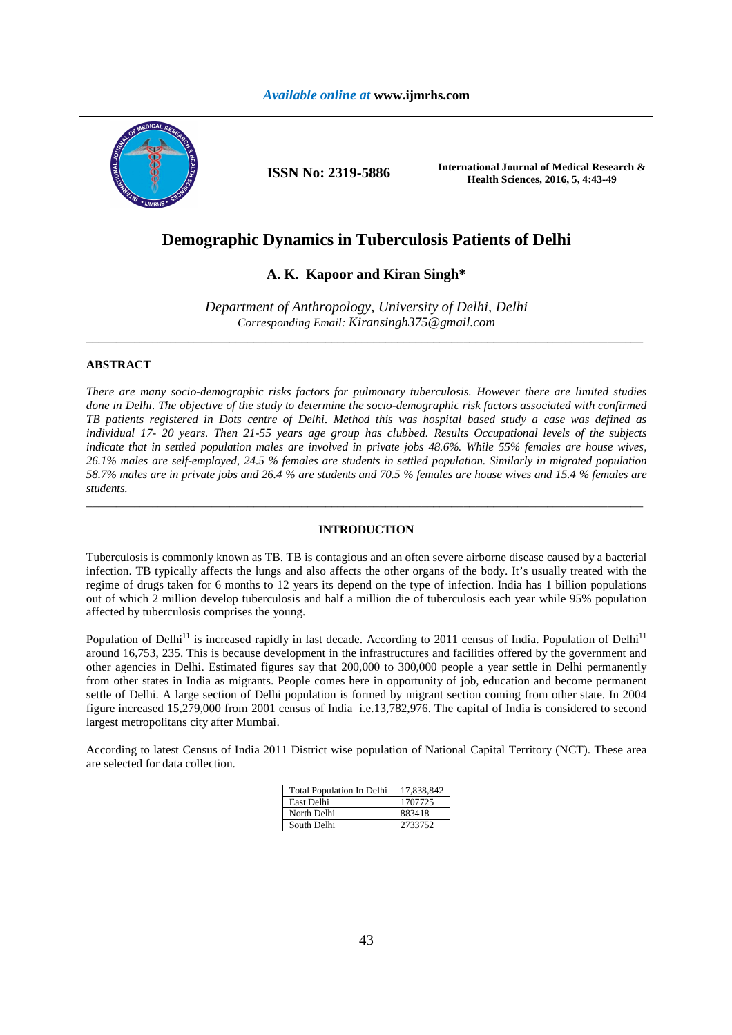

**ISSN No: 2319-5886 International Journal of Medical Research & Health Sciences, 2016, 5, 4:43-49** 

# **Demographic Dynamics in Tuberculosis Patients of Delhi**

# **A. K. Kapoor and Kiran Singh\***

*Department of Anthropology, University of Delhi, Delhi Corresponding Email: Kiransingh375@gmail.com* \_\_\_\_\_\_\_\_\_\_\_\_\_\_\_\_\_\_\_\_\_\_\_\_\_\_\_\_\_\_\_\_\_\_\_\_\_\_\_\_\_\_\_\_\_\_\_\_\_\_\_\_\_\_\_\_\_\_\_\_\_\_\_\_\_\_\_\_\_\_\_\_\_\_\_\_\_\_\_\_\_\_\_\_\_\_\_\_\_\_\_\_\_

### **ABSTRACT**

*There are many socio-demographic risks factors for pulmonary tuberculosis. However there are limited studies done in Delhi. The objective of the study to determine the socio-demographic risk factors associated with confirmed TB patients registered in Dots centre of Delhi. Method this was hospital based study a case was defined as individual 17- 20 years. Then 21-55 years age group has clubbed. Results Occupational levels of the subjects indicate that in settled population males are involved in private jobs 48.6%. While 55% females are house wives, 26.1% males are self-employed, 24.5 % females are students in settled population. Similarly in migrated population 58.7% males are in private jobs and 26.4 % are students and 70.5 % females are house wives and 15.4 % females are students.* 

### **INTRODUCTION**

\_\_\_\_\_\_\_\_\_\_\_\_\_\_\_\_\_\_\_\_\_\_\_\_\_\_\_\_\_\_\_\_\_\_\_\_\_\_\_\_\_\_\_\_\_\_\_\_\_\_\_\_\_\_\_\_\_\_\_\_\_\_\_\_\_\_\_\_\_\_\_\_\_\_\_\_\_\_\_\_\_\_\_\_\_\_\_\_\_\_\_\_\_

Tuberculosis is commonly known as TB. TB is contagious and an often severe airborne disease caused by a bacterial infection. TB typically affects the lungs and also affects the other organs of the body. It's usually treated with the regime of drugs taken for 6 months to 12 years its depend on the type of infection. India has 1 billion populations out of which 2 million develop tuberculosis and half a million die of tuberculosis each year while 95% population affected by tuberculosis comprises the young.

Population of Delhi<sup>11</sup> is increased rapidly in last decade. According to 2011 census of India. Population of Delhi<sup>11</sup> around 16,753, 235. This is because development in the infrastructures and facilities offered by the government and other agencies in Delhi. Estimated figures say that 200,000 to 300,000 people a year settle in Delhi permanently from other states in India as migrants. People comes here in opportunity of job, education and become permanent settle of Delhi. A large section of Delhi population is formed by migrant section coming from other state. In 2004 figure increased 15,279,000 from 2001 census of India i.e.13,782,976. The capital of India is considered to second largest metropolitans city after Mumbai.

According to latest Census of India 2011 District wise population of National Capital Territory (NCT). These area are selected for data collection.

| <b>Total Population In Delhi</b> | 17,838,842 |
|----------------------------------|------------|
| East Delhi                       | 1707725    |
| North Delhi                      | 883418     |
| South Delhi                      | 2733752    |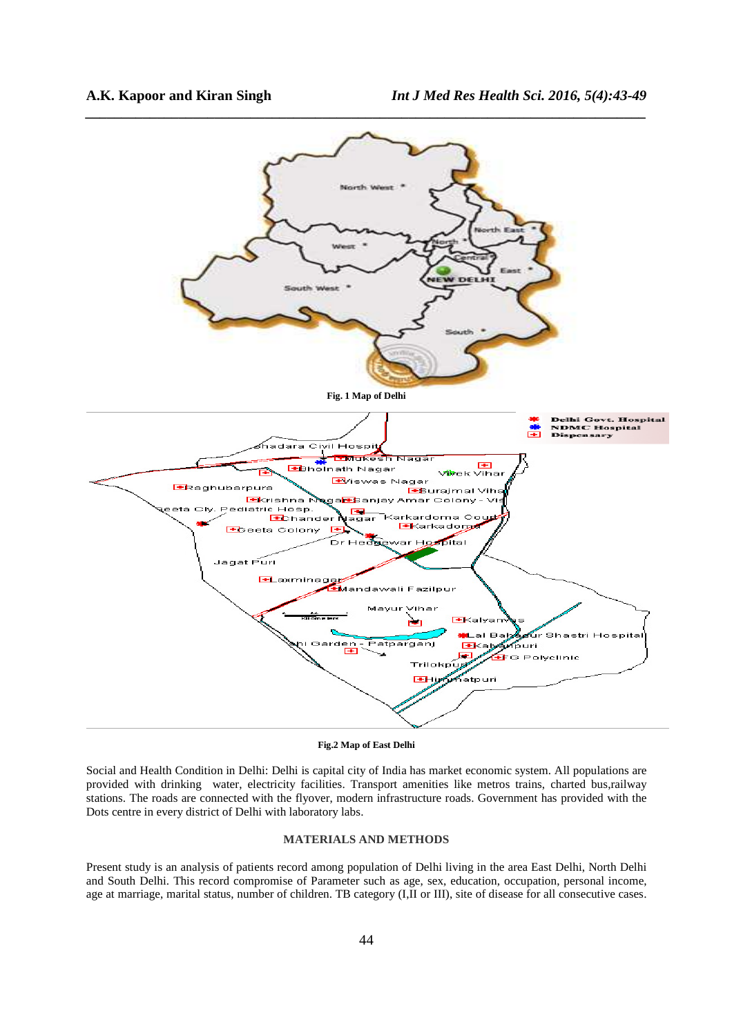

**Fig.2 Map of East Delhi** 

Social and Health Condition in Delhi: Delhi is capital city of India has market economic system. All populations are provided with drinking water, electricity facilities. Transport amenities like metros trains, charted bus,railway stations. The roads are connected with the flyover, modern infrastructure roads. Government has provided with the Dots centre in every district of Delhi with laboratory labs.

## **MATERIALS AND METHODS**

Present study is an analysis of patients record among population of Delhi living in the area East Delhi, North Delhi and South Delhi. This record compromise of Parameter such as age, sex, education, occupation, personal income, age at marriage, marital status, number of children. TB category (I,II or III), site of disease for all consecutive cases.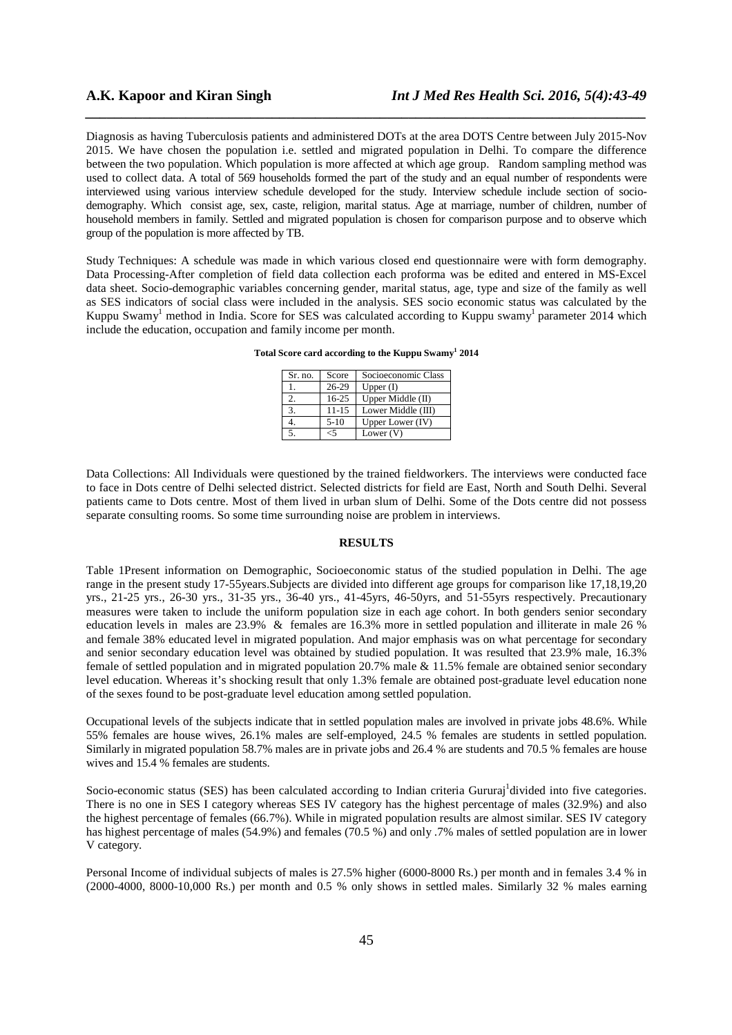Diagnosis as having Tuberculosis patients and administered DOTs at the area DOTS Centre between July 2015-Nov 2015. We have chosen the population i.e. settled and migrated population in Delhi. To compare the difference between the two population. Which population is more affected at which age group. Random sampling method was used to collect data. A total of 569 households formed the part of the study and an equal number of respondents were interviewed using various interview schedule developed for the study. Interview schedule include section of sociodemography. Which consist age, sex, caste, religion, marital status. Age at marriage, number of children, number of household members in family. Settled and migrated population is chosen for comparison purpose and to observe which group of the population is more affected by TB.

*\_\_\_\_\_\_\_\_\_\_\_\_\_\_\_\_\_\_\_\_\_\_\_\_\_\_\_\_\_\_\_\_\_\_\_\_\_\_\_\_\_\_\_\_\_\_\_\_\_\_\_\_\_\_\_\_\_\_\_\_\_\_\_\_\_\_\_\_\_\_\_\_\_\_\_\_\_\_*

Study Techniques: A schedule was made in which various closed end questionnaire were with form demography. Data Processing-After completion of field data collection each proforma was be edited and entered in MS-Excel data sheet. Socio-demographic variables concerning gender, marital status, age, type and size of the family as well as SES indicators of social class were included in the analysis. SES socio economic status was calculated by the Kuppu Swamy<sup>1</sup> method in India. Score for SES was calculated according to Kuppu swamy<sup>1</sup> parameter 2014 which include the education, occupation and family income per month.

**Total Score card according to the Kuppu Swamy<sup>1</sup> 2014** 

| Sr. no. | Score  | Socioeconomic Class |
|---------|--------|---------------------|
|         | 26-29  | Upper $(I)$         |
| 2.      | 16-25  | Upper Middle $(II)$ |
|         | 11-15  | Lower Middle (III)  |
|         | $5-10$ | Upper Lower (IV)    |
|         | .,     | Lower $(V)$         |

Data Collections: All Individuals were questioned by the trained fieldworkers. The interviews were conducted face to face in Dots centre of Delhi selected district. Selected districts for field are East, North and South Delhi. Several patients came to Dots centre. Most of them lived in urban slum of Delhi. Some of the Dots centre did not possess separate consulting rooms. So some time surrounding noise are problem in interviews.

#### **RESULTS**

Table 1Present information on Demographic, Socioeconomic status of the studied population in Delhi. The age range in the present study 17-55years.Subjects are divided into different age groups for comparison like 17,18,19,20 yrs., 21-25 yrs., 26-30 yrs., 31-35 yrs., 36-40 yrs., 41-45yrs, 46-50yrs, and 51-55yrs respectively. Precautionary measures were taken to include the uniform population size in each age cohort. In both genders senior secondary education levels in males are 23.9% & females are 16.3% more in settled population and illiterate in male 26 % and female 38% educated level in migrated population. And major emphasis was on what percentage for secondary and senior secondary education level was obtained by studied population. It was resulted that 23.9% male, 16.3% female of settled population and in migrated population 20.7% male & 11.5% female are obtained senior secondary level education. Whereas it's shocking result that only 1.3% female are obtained post-graduate level education none of the sexes found to be post-graduate level education among settled population.

Occupational levels of the subjects indicate that in settled population males are involved in private jobs 48.6%. While 55% females are house wives, 26.1% males are self-employed, 24.5 % females are students in settled population. Similarly in migrated population 58.7% males are in private jobs and 26.4 % are students and 70.5 % females are house wives and 15.4 % females are students.

Socio-economic status (SES) has been calculated according to Indian criteria Gururaj divided into five categories. There is no one in SES I category whereas SES IV category has the highest percentage of males (32.9%) and also the highest percentage of females (66.7%). While in migrated population results are almost similar. SES IV category has highest percentage of males (54.9%) and females (70.5 %) and only .7% males of settled population are in lower V category.

Personal Income of individual subjects of males is 27.5% higher (6000-8000 Rs.) per month and in females 3.4 % in (2000-4000, 8000-10,000 Rs.) per month and 0.5 % only shows in settled males. Similarly 32 % males earning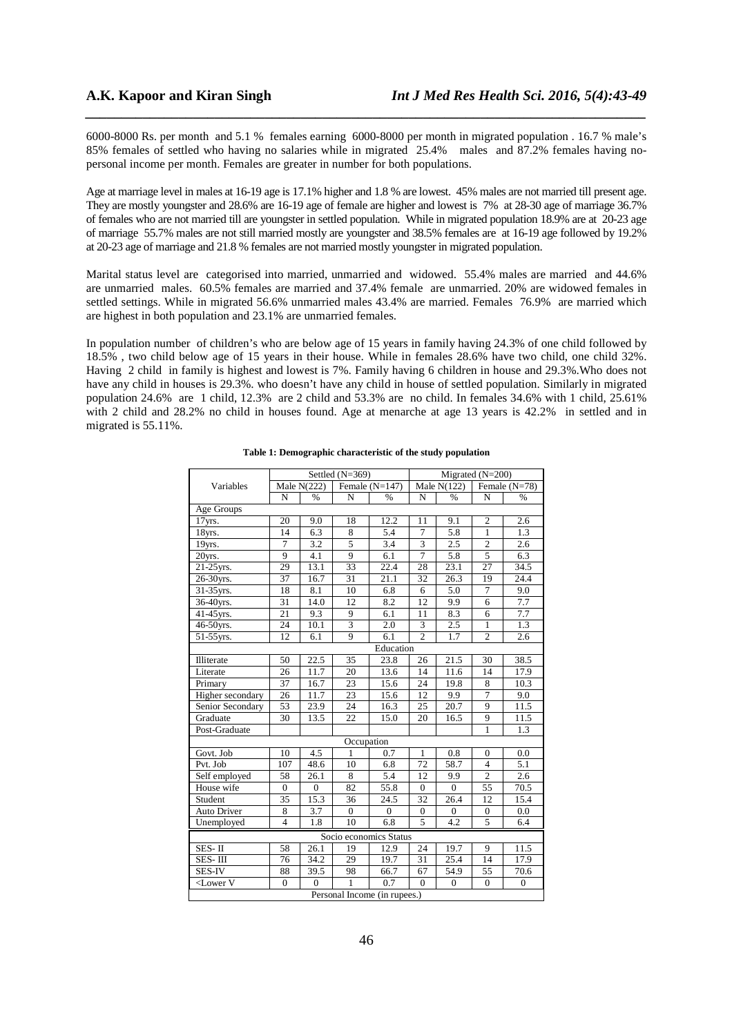6000-8000 Rs. per month and 5.1 % females earning 6000-8000 per month in migrated population . 16.7 % male's 85% females of settled who having no salaries while in migrated 25.4% males and 87.2% females having nopersonal income per month. Females are greater in number for both populations.

*\_\_\_\_\_\_\_\_\_\_\_\_\_\_\_\_\_\_\_\_\_\_\_\_\_\_\_\_\_\_\_\_\_\_\_\_\_\_\_\_\_\_\_\_\_\_\_\_\_\_\_\_\_\_\_\_\_\_\_\_\_\_\_\_\_\_\_\_\_\_\_\_\_\_\_\_\_\_*

Age at marriage level in males at 16-19 age is 17.1% higher and 1.8 % are lowest. 45% males are not married till present age. They are mostly youngster and 28.6% are 16-19 age of female are higher and lowest is 7% at 28-30 age of marriage 36.7% of females who are not married till are youngster in settled population. While in migrated population 18.9% are at 20-23 age of marriage 55.7% males are not still married mostly are youngster and 38.5% females are at 16-19 age followed by 19.2% at 20-23 age of marriage and 21.8 % females are not married mostly youngster in migrated population.

Marital status level are categorised into married, unmarried and widowed. 55.4% males are married and 44.6% are unmarried males. 60.5% females are married and 37.4% female are unmarried. 20% are widowed females in settled settings. While in migrated 56.6% unmarried males 43.4% are married. Females 76.9% are married which are highest in both population and 23.1% are unmarried females.

In population number of children's who are below age of 15 years in family having 24.3% of one child followed by 18.5% , two child below age of 15 years in their house. While in females 28.6% have two child, one child 32%. Having 2 child in family is highest and lowest is 7%. Family having 6 children in house and 29.3%.Who does not have any child in houses is 29.3%. who doesn't have any child in house of settled population. Similarly in migrated population 24.6% are 1 child, 12.3% are 2 child and 53.3% are no child. In females 34.6% with 1 child, 25.61% with 2 child and 28.2% no child in houses found. Age at menarche at age 13 years is 42.2% in settled and in migrated is 55.11%.

|                                                                                                                                                                                                                                                   | Settled (N=369) |              |                  |              | Migrated (N=200) |                  |                  |                  |  |  |
|---------------------------------------------------------------------------------------------------------------------------------------------------------------------------------------------------------------------------------------------------|-----------------|--------------|------------------|--------------|------------------|------------------|------------------|------------------|--|--|
| Variables                                                                                                                                                                                                                                         | Male $N(222)$   |              | Female $(N=147)$ |              | Male $N(122)$    |                  | Female $(N=78)$  |                  |  |  |
|                                                                                                                                                                                                                                                   | N               | $\%$         | N                | $\%$         | N                | %                | N                | %                |  |  |
| Age Groups                                                                                                                                                                                                                                        |                 |              |                  |              |                  |                  |                  |                  |  |  |
| 17yrs.                                                                                                                                                                                                                                            | 20              | 9.0          | 18               | 12.2         | 11               | 9.1              | $\overline{2}$   | 2.6              |  |  |
| 18yrs.                                                                                                                                                                                                                                            | 14              | 6.3          | 8                | 5.4          | $\tau$           | 5.8              | $\mathbf{1}$     | 1.3              |  |  |
| 19yrs.                                                                                                                                                                                                                                            | 7               | 3.2          | 5                | 3.4          | 3                | 2.5              | $\overline{2}$   | 2.6              |  |  |
| 20yrs.                                                                                                                                                                                                                                            | 9               | 4.1          | 9                | 6.1          | $\overline{7}$   | 5.8              | 5                | 6.3              |  |  |
| $21-25$ yrs.                                                                                                                                                                                                                                      | 29              | 13.1         | 33               | 22.4         | 28               | 23.1             | 27               | 34.5             |  |  |
| 26-30yrs.                                                                                                                                                                                                                                         | 37              | 16.7         | 31               | 21.1         | 32               | 26.3             | 19               | 24.4             |  |  |
| 31-35yrs.                                                                                                                                                                                                                                         | 18              | 8.1          | 10               | 6.8          | 6                | 5.0              | 7                | 9.0              |  |  |
| 36-40yrs.                                                                                                                                                                                                                                         | 31              | 14.0         | 12               | 8.2          | 12               | 9.9              | 6                | 7.7              |  |  |
| 41-45 yrs.                                                                                                                                                                                                                                        | 21              | 9.3          | 9                | 6.1          | 11               | 8.3              | 6                | 7.7              |  |  |
| 46-50yrs.                                                                                                                                                                                                                                         | 24              | 10.1         | $\overline{3}$   | 2.0          | 3                | 2.5              | $\mathbf{1}$     | 1.3              |  |  |
| 51-55yrs.                                                                                                                                                                                                                                         | 12              | 6.1          | 9                | 6.1          | $\overline{c}$   | 1.7              | $\overline{2}$   | 2.6              |  |  |
|                                                                                                                                                                                                                                                   | Education       |              |                  |              |                  |                  |                  |                  |  |  |
| Illiterate                                                                                                                                                                                                                                        | 50              | 22.5         | 35               | 23.8         | 26               | 21.5             | 30               | 38.5             |  |  |
| Literate                                                                                                                                                                                                                                          | 26              | 11.7         | 20               | 13.6         | 14               | 11.6             | 14               | 17.9             |  |  |
| Primary                                                                                                                                                                                                                                           | 37              | 16.7         | 23               | 15.6         | 24               | 19.8             | 8                | 10.3             |  |  |
| Higher secondary                                                                                                                                                                                                                                  | 26              | 11.7         | 23               | 15.6         | 12               | 9.9              | $\overline{7}$   | 9.0              |  |  |
| Senior Secondary                                                                                                                                                                                                                                  | 53              | 23.9         | 24               | 16.3         | 25               | 20.7             | 9                | 11.5             |  |  |
| Graduate                                                                                                                                                                                                                                          | 30              | 13.5         | 22               | 15.0         | 20               | 16.5             | 9                | 11.5             |  |  |
| Post-Graduate                                                                                                                                                                                                                                     |                 |              |                  |              |                  |                  | 1                | 1.3              |  |  |
|                                                                                                                                                                                                                                                   |                 |              | Occupation       |              |                  |                  |                  |                  |  |  |
| Govt. Job                                                                                                                                                                                                                                         | 10              | 4.5          | 1                | 0.7          | 1                | 0.8              | $\mathbf{0}$     | 0.0              |  |  |
| Pvt. Job                                                                                                                                                                                                                                          | 107             | 48.6         | 10               | 6.8          | 72               | 58.7             | $\overline{4}$   | 5.1              |  |  |
| Self employed                                                                                                                                                                                                                                     | 58              | 26.1         | 8                | 5.4          | 12               | 9.9              | $\overline{2}$   | 2.6              |  |  |
| House wife                                                                                                                                                                                                                                        | $\mathbf{0}$    | $\mathbf{0}$ | 82               | 55.8         | $\mathbf{0}$     | $\mathbf{0}$     | 55               | 70.5             |  |  |
| Student                                                                                                                                                                                                                                           | 35              | 15.3         | 36               | 24.5         | 32               | 26.4             | 12               | 15.4             |  |  |
| <b>Auto Driver</b>                                                                                                                                                                                                                                | 8               | 3.7          | $\mathbf{0}$     | $\mathbf{0}$ | $\boldsymbol{0}$ | $\mathbf{0}$     | $\boldsymbol{0}$ | 0.0              |  |  |
| Unemployed                                                                                                                                                                                                                                        | $\overline{4}$  | 1.8          | 10               | 6.8          | 5                | 4.2              | 5                | 6.4              |  |  |
| Socio economics Status                                                                                                                                                                                                                            |                 |              |                  |              |                  |                  |                  |                  |  |  |
| SES-II                                                                                                                                                                                                                                            | 58              | 26.1         | 19               | 12.9         | 24               | 19.7             | 9                | 11.5             |  |  |
| SES-III                                                                                                                                                                                                                                           | 76              | 34.2         | 29               | 19.7         | 31               | 25.4             | 14               | 17.9             |  |  |
| <b>SES-IV</b>                                                                                                                                                                                                                                     | 88              | 39.5         | 98               | 66.7         | 67               | 54.9             | 55               | 70.6             |  |  |
| <lower td="" v<=""><td><math>\mathbf{0}</math></td><td><math>\theta</math></td><td>1</td><td>0.7</td><td><math>\theta</math></td><td><math>\boldsymbol{0}</math></td><td><math>\mathbf{0}</math></td><td><math>\boldsymbol{0}</math></td></lower> | $\mathbf{0}$    | $\theta$     | 1                | 0.7          | $\theta$         | $\boldsymbol{0}$ | $\mathbf{0}$     | $\boldsymbol{0}$ |  |  |
| Personal Income (in rupees.)                                                                                                                                                                                                                      |                 |              |                  |              |                  |                  |                  |                  |  |  |

### **Table 1: Demographic characteristic of the study population**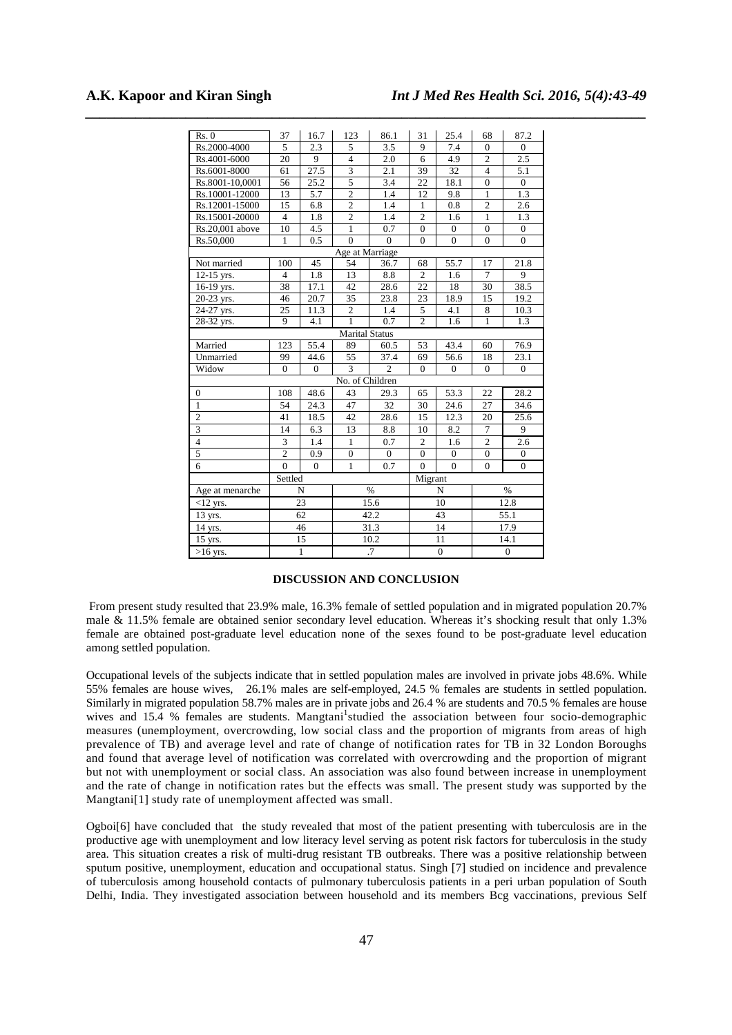| Rs. 0                   | 37             | 16.7     | 123                     | 86.1             | 31               | 25.4             | 68               | 87.2             |
|-------------------------|----------------|----------|-------------------------|------------------|------------------|------------------|------------------|------------------|
| Rs.2000-4000            | 5              | 2.3      | 5                       | 3.5              | 9                | 7.4              | $\Omega$         | $\Omega$         |
| Rs.4001-6000            | 20             | 9        | $\overline{4}$          | 2.0              | 6                | 4.9              | $\overline{c}$   | 2.5              |
| Rs.6001-8000            | 61             | 27.5     | $\overline{\mathbf{3}}$ | 2.1              | 39               | 32               | $\overline{4}$   | 5.1              |
| Rs.8001-10,0001         | 56             | 25.2     | $\overline{5}$          | 3.4              | 22               | 18.1             | $\mathbf{0}$     | $\mathbf{0}$     |
| Rs.10001-12000          | 13             | 5.7      | $\overline{c}$          | 1.4              | 12               | 9.8              | $\mathbf{1}$     | 1.3              |
| Rs.12001-15000          | 15             | 6.8      | $\overline{2}$          | 1.4              | $\mathbf{1}$     | 0.8              | $\overline{2}$   | 2.6              |
| Rs.15001-20000          | $\overline{4}$ | 1.8      | $\overline{2}$          | 1.4              | $\overline{2}$   | 1.6              | $\mathbf{1}$     | 1.3              |
| Rs.20,001 above         | 10             | 4.5      | $\mathbf{1}$            | 0.7              | $\mathbf{0}$     | $\boldsymbol{0}$ | $\mathbf{0}$     | $\mathbf{0}$     |
| Rs.50,000               | $\mathbf{1}$   | 0.5      | $\overline{0}$          | $\Omega$         | $\theta$         | $\boldsymbol{0}$ | $\mathbf{0}$     | $\overline{0}$   |
|                         |                |          | Age at Marriage         |                  |                  |                  |                  |                  |
| Not married             | 100            | 45       | 54                      | 36.7             | 68               | 55.7             | 17               | 21.8             |
| $12-15$ yrs.            | $\overline{4}$ | 1.8      | 13                      | 8.8              | $\overline{2}$   | 1.6              | $\overline{7}$   | 9                |
| 16-19 yrs.              | 38             | 17.1     | 42                      | 28.6             | 22               | 18               | 30               | 38.5             |
| 20-23 yrs.              | 46             | 20.7     | $\overline{35}$         | 23.8             | 23               | 18.9             | 15               | 19.2             |
| 24-27 yrs.              | 25             | 11.3     | $\overline{2}$          | 1.4              | 5                | 4.1              | 8                | 10.3             |
| 28-32 yrs.              | 9              | 4.1      | $\mathbf{1}$            | 0.7              | $\overline{c}$   | 1.6              | $\mathbf{1}$     | 1.3              |
|                         |                |          | <b>Marital Status</b>   |                  |                  |                  |                  |                  |
| Married                 | 123            | 55.4     | 89                      | 60.5             | 53               | 43.4             | 60               | 76.9             |
| Unmarried               | 99             | 44.6     | $\overline{55}$         | 37.4             | 69               | 56.6             | 18               | 23.1             |
| Widow                   | $\mathbf{0}$   | $\Omega$ | $\overline{3}$          | $\overline{2}$   | $\Omega$         | $\mathbf{0}$     | $\mathbf{0}$     | $\overline{0}$   |
|                         |                |          | No. of Children         |                  |                  |                  |                  |                  |
| $\mathbf{0}$            | 108            | 48.6     | 43                      | 29.3             | 65               | 53.3             | 22               | 28.2             |
| $\mathbf 1$             | 54             | 24.3     | 47                      | 32               | 30               | 24.6             | 27               | 34.6             |
| $\overline{2}$          | 41             | 18.5     | 42                      | 28.6             | 15               | 12.3             | 20               | 25.6             |
|                         | 14             | 6.3      | 13                      | 8.8              | 10               | 8.2              | $\overline{7}$   | 9                |
| $\overline{\mathbf{4}}$ | 3              | 1.4      | $\mathbf{1}$            | 0.7              | $\overline{c}$   | 1.6              | $\overline{2}$   | 2.6              |
| $\overline{5}$          | $\overline{c}$ | 0.9      | $\mathbf{0}$            | $\boldsymbol{0}$ | $\boldsymbol{0}$ | $\boldsymbol{0}$ | $\boldsymbol{0}$ | $\boldsymbol{0}$ |
| 6                       | $\theta$       | $\Omega$ | $\mathbf{1}$            | 0.7              | $\overline{0}$   | $\mathbf{0}$     | $\overline{0}$   | $\overline{0}$   |
|                         | Settled        |          |                         | Migrant          |                  |                  |                  |                  |
| Age at menarche         | $\mathbf N$    |          | $\%$                    |                  | N                |                  | $\%$             |                  |
| $<$ 12 yrs.             | 23             |          | 15.6                    |                  | 10               |                  | 12.8             |                  |
| 13 yrs.                 | 62             |          | 42.2                    |                  | 43               |                  | 55.1             |                  |
| 14 yrs.                 | 46             |          | 31.3                    |                  | 14               |                  | 17.9             |                  |
| 15 yrs.                 | 15             |          | 10.2                    |                  | 11               |                  | 14.1             |                  |
| $>16$ yrs.              | $\mathbf{1}$   |          | $\overline{.7}$         |                  | $\overline{0}$   |                  | $\overline{0}$   |                  |

*\_\_\_\_\_\_\_\_\_\_\_\_\_\_\_\_\_\_\_\_\_\_\_\_\_\_\_\_\_\_\_\_\_\_\_\_\_\_\_\_\_\_\_\_\_\_\_\_\_\_\_\_\_\_\_\_\_\_\_\_\_\_\_\_\_\_\_\_\_\_\_\_\_\_\_\_\_\_*

#### **DISCUSSION AND CONCLUSION**

From present study resulted that 23.9% male, 16.3% female of settled population and in migrated population 20.7% male & 11.5% female are obtained senior secondary level education. Whereas it's shocking result that only 1.3% female are obtained post-graduate level education none of the sexes found to be post-graduate level education among settled population.

Occupational levels of the subjects indicate that in settled population males are involved in private jobs 48.6%. While 55% females are house wives, 26.1% males are self-employed, 24.5 % females are students in settled population. Similarly in migrated population 58.7% males are in private jobs and 26.4 % are students and 70.5 % females are house wives and 15.4 % females are students. Mangtani<sup>1</sup>studied the association between four socio-demographic measures (unemployment, overcrowding, low social class and the proportion of migrants from areas of high prevalence of TB) and average level and rate of change of notification rates for TB in 32 London Boroughs and found that average level of notification was correlated with overcrowding and the proportion of migrant but not with unemployment or social class. An association was also found between increase in unemployment and the rate of change in notification rates but the effects was small. The present study was supported by the Mangtani[1] study rate of unemployment affected was small.

Ogboi[6] have concluded that the study revealed that most of the patient presenting with tuberculosis are in the productive age with unemployment and low literacy level serving as potent risk factors for tuberculosis in the study area. This situation creates a risk of multi-drug resistant TB outbreaks. There was a positive relationship between sputum positive, unemployment, education and occupational status. Singh [7] studied on incidence and prevalence of tuberculosis among household contacts of pulmonary tuberculosis patients in a peri urban population of South Delhi, India. They investigated association between household and its members Bcg vaccinations, previous Self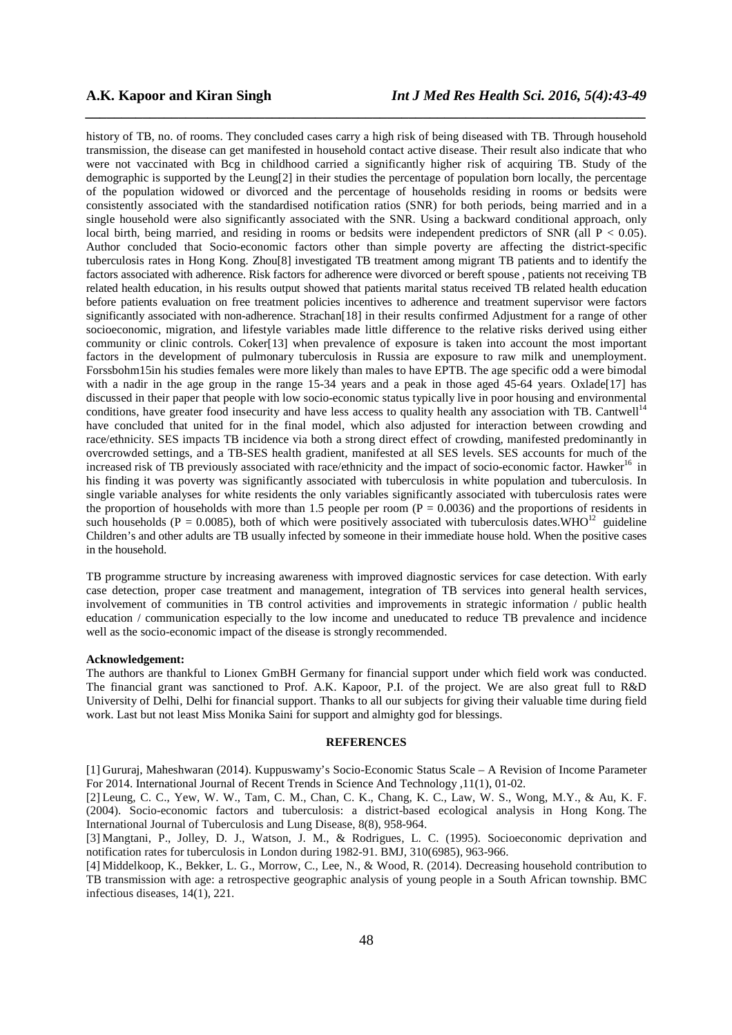history of TB, no. of rooms. They concluded cases carry a high risk of being diseased with TB. Through household transmission, the disease can get manifested in household contact active disease. Their result also indicate that who were not vaccinated with Bcg in childhood carried a significantly higher risk of acquiring TB. Study of the demographic is supported by the Leung[2] in their studies the percentage of population born locally, the percentage of the population widowed or divorced and the percentage of households residing in rooms or bedsits were consistently associated with the standardised notification ratios (SNR) for both periods, being married and in a single household were also significantly associated with the SNR. Using a backward conditional approach, only local birth, being married, and residing in rooms or bedsits were independent predictors of SNR (all P < 0.05). Author concluded that Socio-economic factors other than simple poverty are affecting the district-specific tuberculosis rates in Hong Kong. Zhou[8] investigated TB treatment among migrant TB patients and to identify the factors associated with adherence. Risk factors for adherence were divorced or bereft spouse , patients not receiving TB related health education, in his results output showed that patients marital status received TB related health education before patients evaluation on free treatment policies incentives to adherence and treatment supervisor were factors significantly associated with non-adherence. Strachan<sup>[18]</sup> in their results confirmed Adjustment for a range of other socioeconomic, migration, and lifestyle variables made little difference to the relative risks derived using either community or clinic controls. Coker[13] when prevalence of exposure is taken into account the most important factors in the development of pulmonary tuberculosis in Russia are exposure to raw milk and unemployment. Forssbohm15in his studies females were more likely than males to have EPTB. The age specific odd a were bimodal with a nadir in the age group in the range 15-34 years and a peak in those aged 45-64 years. Oxlade[17] has discussed in their paper that people with low socio-economic status typically live in poor housing and environmental conditions, have greater food insecurity and have less access to quality health any association with TB. Cantwell<sup>14</sup> have concluded that united for in the final model, which also adjusted for interaction between crowding and race/ethnicity. SES impacts TB incidence via both a strong direct effect of crowding, manifested predominantly in overcrowded settings, and a TB-SES health gradient, manifested at all SES levels. SES accounts for much of the increased risk of TB previously associated with race/ethnicity and the impact of socio-economic factor. Hawker<sup>16</sup> in his finding it was poverty was significantly associated with tuberculosis in white population and tuberculosis. In single variable analyses for white residents the only variables significantly associated with tuberculosis rates were the proportion of households with more than 1.5 people per room  $(P = 0.0036)$  and the proportions of residents in such households (P = 0.0085), both of which were positively associated with tuberculosis dates. WHO<sup>12</sup> guideline Children's and other adults are TB usually infected by someone in their immediate house hold. When the positive cases in the household.

*\_\_\_\_\_\_\_\_\_\_\_\_\_\_\_\_\_\_\_\_\_\_\_\_\_\_\_\_\_\_\_\_\_\_\_\_\_\_\_\_\_\_\_\_\_\_\_\_\_\_\_\_\_\_\_\_\_\_\_\_\_\_\_\_\_\_\_\_\_\_\_\_\_\_\_\_\_\_*

TB programme structure by increasing awareness with improved diagnostic services for case detection. With early case detection, proper case treatment and management, integration of TB services into general health services, involvement of communities in TB control activities and improvements in strategic information / public health education / communication especially to the low income and uneducated to reduce TB prevalence and incidence well as the socio-economic impact of the disease is strongly recommended.

#### **Acknowledgement:**

The authors are thankful to Lionex GmBH Germany for financial support under which field work was conducted. The financial grant was sanctioned to Prof. A.K. Kapoor, P.I. of the project. We are also great full to R&D University of Delhi, Delhi for financial support. Thanks to all our subjects for giving their valuable time during field work. Last but not least Miss Monika Saini for support and almighty god for blessings.

#### **REFERENCES**

[1] Gururaj, Maheshwaran (2014). Kuppuswamy's Socio-Economic Status Scale – A Revision of Income Parameter For 2014. International Journal of Recent Trends in Science And Technology ,11(1), 01-02.

[2] Leung, C. C., Yew, W. W., Tam, C. M., Chan, C. K., Chang, K. C., Law, W. S., Wong, M.Y., & Au, K. F. (2004). Socio-economic factors and tuberculosis: a district-based ecological analysis in Hong Kong. The International Journal of Tuberculosis and Lung Disease, 8(8), 958-964.

[3] Mangtani, P., Jolley, D. J., Watson, J. M., & Rodrigues, L. C. (1995). Socioeconomic deprivation and notification rates for tuberculosis in London during 1982-91. BMJ, 310(6985), 963-966.

[4] Middelkoop, K., Bekker, L. G., Morrow, C., Lee, N., & Wood, R. (2014). Decreasing household contribution to TB transmission with age: a retrospective geographic analysis of young people in a South African township. BMC infectious diseases, 14(1), 221.